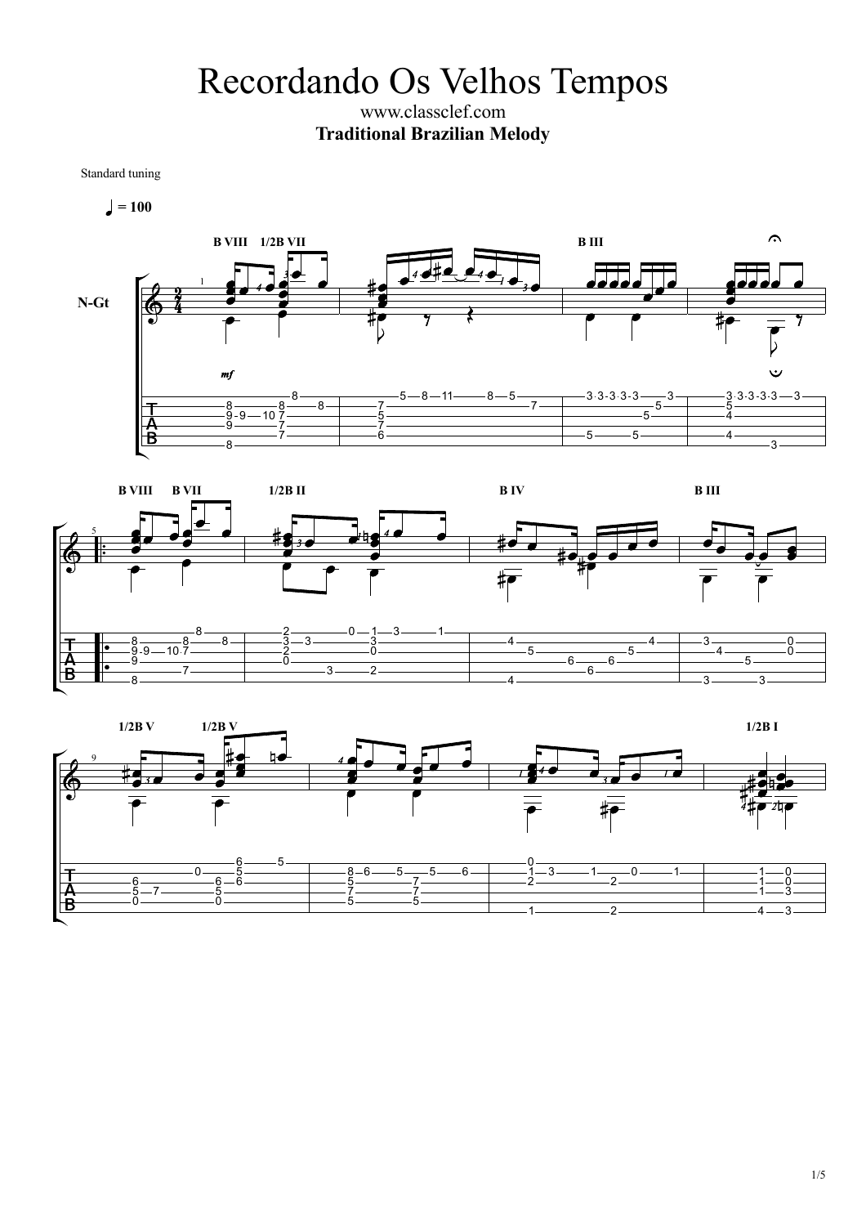## Recordando Os Velhos Tempos

www.classclef.com **Traditional Brazilian Melody**

Standard tuning

$$
\bullet=100
$$





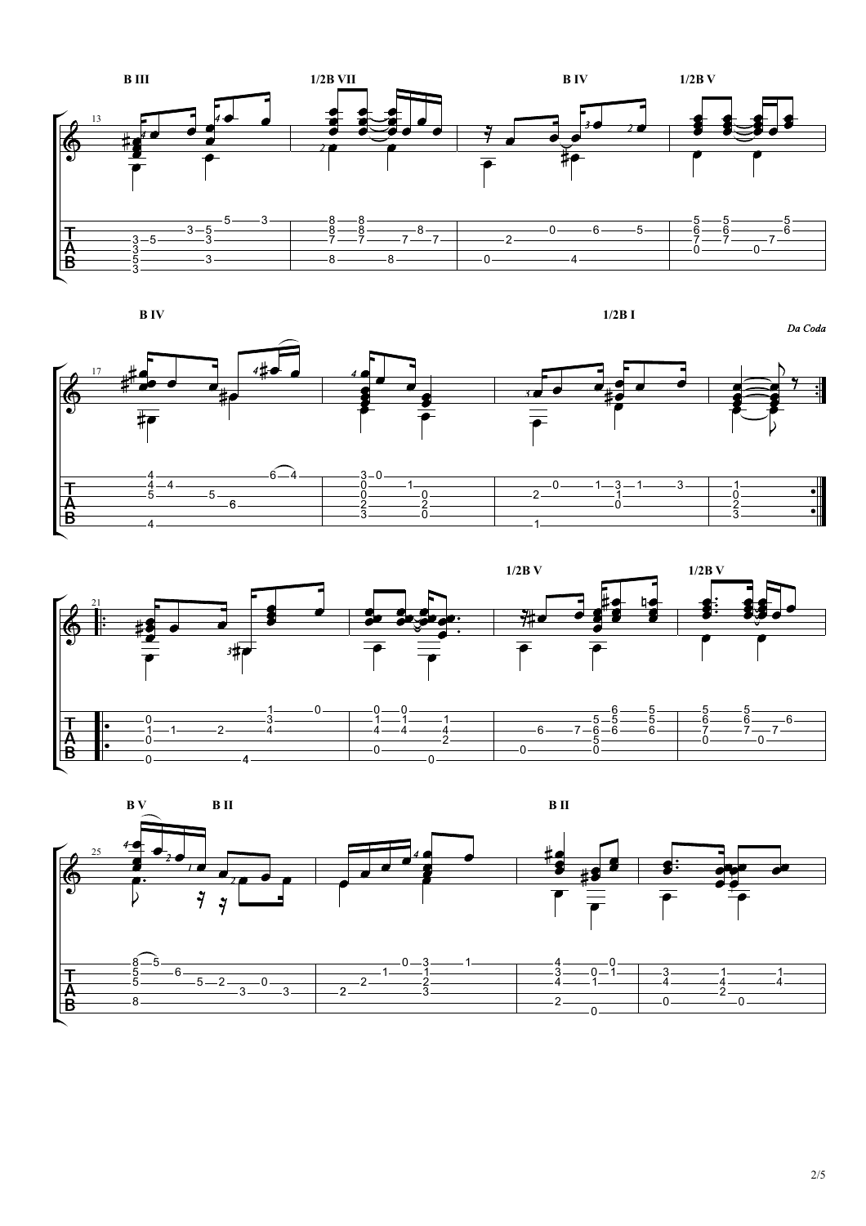







2/5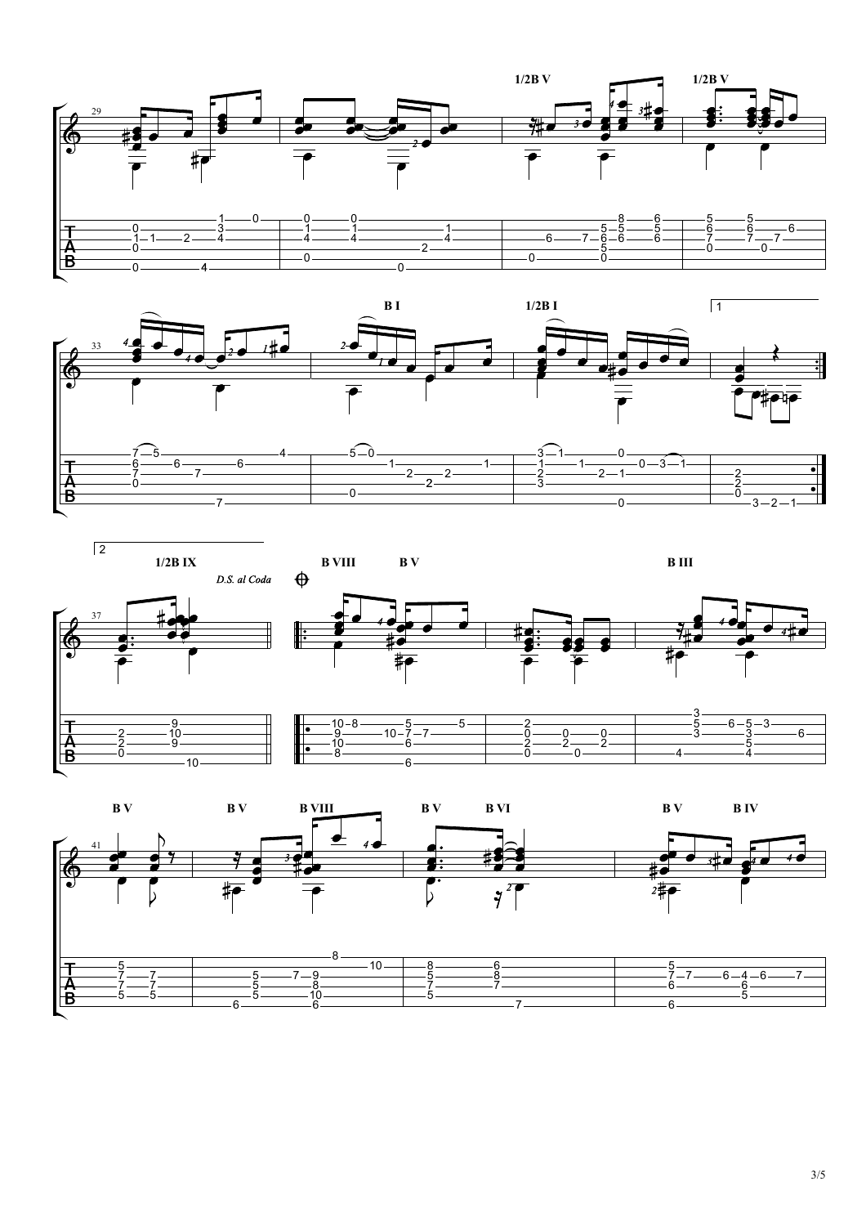





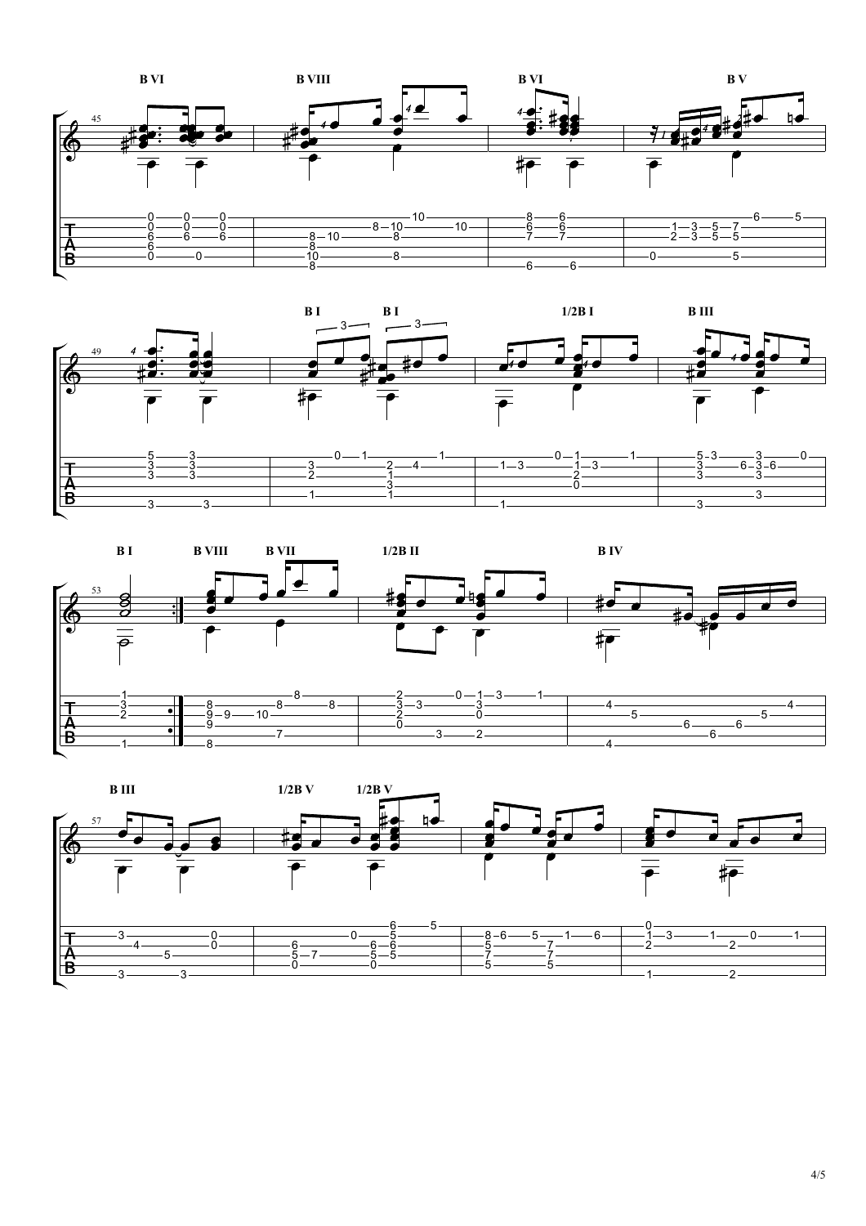